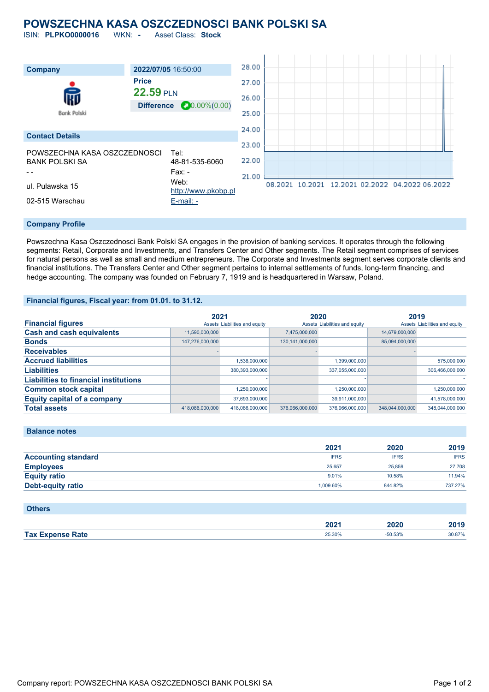## **POWSZECHNA KASA OSZCZEDNOSCI BANK POLSKI SA**

ISIN: **PLPKO0000016** WKN: **-** Asset Class: **Stock**



### **Company Profile**

Powszechna Kasa Oszczednosci Bank Polski SA engages in the provision of banking services. It operates through the following segments: Retail, Corporate and Investments, and Transfers Center and Other segments. The Retail segment comprises of services for natural persons as well as small and medium entrepreneurs. The Corporate and Investments segment serves corporate clients and financial institutions. The Transfers Center and Other segment pertains to internal settlements of funds, long-term financing, and hedge accounting. The company was founded on February 7, 1919 and is headquartered in Warsaw, Poland.

### **Financial figures, Fiscal year: from 01.01. to 31.12.**

|                                              | 2021            |                               | 2020               |                               | 2019            |                               |
|----------------------------------------------|-----------------|-------------------------------|--------------------|-------------------------------|-----------------|-------------------------------|
| <b>Financial figures</b>                     |                 | Assets Liabilities and equity |                    | Assets Liabilities and equity |                 | Assets Liabilities and equity |
| <b>Cash and cash equivalents</b>             | 11,590,000,000  |                               | 7,475,000,000      |                               | 14.679.000.000  |                               |
| <b>Bonds</b>                                 | 147,276,000,000 |                               | 130, 141, 000, 000 |                               | 85,094,000,000  |                               |
| <b>Receivables</b>                           |                 |                               |                    |                               |                 |                               |
| <b>Accrued liabilities</b>                   |                 | 1,538,000,000                 |                    | 1,399,000,000                 |                 | 575,000,000                   |
| <b>Liabilities</b>                           |                 | 380,393,000,000               |                    | 337.055.000.000               |                 | 306.466.000.000               |
| <b>Liabilities to financial institutions</b> |                 |                               |                    |                               |                 |                               |
| <b>Common stock capital</b>                  |                 | 1.250.000.000                 |                    | 1.250.000.000                 |                 | 1,250,000,000                 |
| <b>Equity capital of a company</b>           |                 | 37,693,000,000                |                    | 39,911,000,000                |                 | 41,578,000,000                |
| <b>Total assets</b>                          | 418,086,000,000 | 418.086.000.000               | 376,966,000,000    | 376,966,000,000               | 348.044.000.000 | 348.044.000.000               |

#### **Balance notes**

|                            | 2021        | 2020        | 2019        |
|----------------------------|-------------|-------------|-------------|
| <b>Accounting standard</b> | <b>IFRS</b> | <b>IFRS</b> | <b>IFRS</b> |
| <b>Employees</b>           | 25.657      | 25,859      | 27,708      |
| <b>Equity ratio</b>        | $9.01\%$    | 10.58%      | 11.94%      |
| Debt-equity ratio          | 1.009.60%   | 844.82%     | 737.27%     |

| <b>Others</b>           |        |           |        |
|-------------------------|--------|-----------|--------|
|                         | 2021   | 2020      | 2019   |
| <b>Tax Expense Rate</b> | 25.30% | $-50.53%$ | 30.87% |